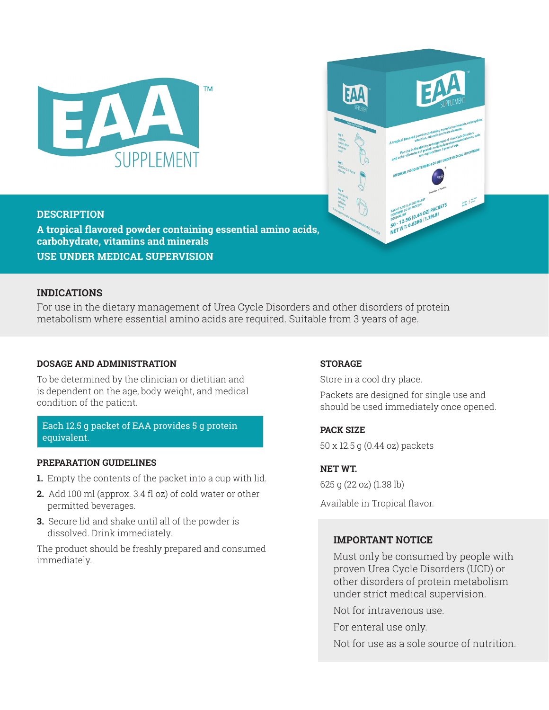



### **DESCRIPTION**

**A tropical flavored powder containing essential amino acids, carbohydrate, vitamins and minerals USE UNDER MEDICAL SUPERVISION**

### **INDICATIONS**

For use in the dietary management of Urea Cycle Disorders and other disorders of protein metabolism where essential amino acids are required. Suitable from 3 years of age.

### **DOSAGE AND ADMINISTRATION**

To be determined by the clinician or dietitian and is dependent on the age, body weight, and medical condition of the patient.

# Each 12.5 g packet of EAA provides 5 g protein equivalent.

### **PREPARATION GUIDELINES**

- **1.** Empty the contents of the packet into a cup with lid.
- **2.** Add 100 ml (approx. 3.4 fl oz) of cold water or other permitted beverages.
- **3.** Secure lid and shake until all of the powder is dissolved. Drink immediately.

The product should be freshly prepared and consumed immediately.

### **STORAGE**

Store in a cool dry place.

Packets are designed for single use and should be used immediately once opened.

### **PACK SIZE**

50 x 12.5 g (0.44 oz) packets

## **NET WT.**

625 g (22 oz) (1.38 lb)

Available in Tropical flavor.

# **IMPORTANT NOTICE**

Must only be consumed by people with proven Urea Cycle Disorders (UCD) or other disorders of protein metabolism under strict medical supervision.

Not for intravenous use.

For enteral use only.

Not for use as a sole source of nutrition.